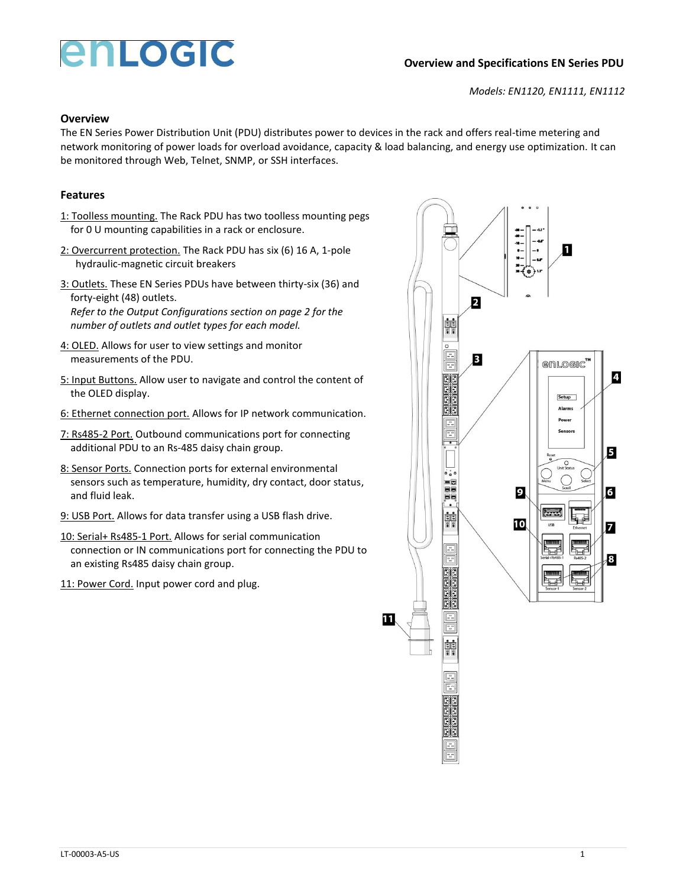# enLogic

## **Overview and Specifications EN Series PDU**

*Models: EN1120, EN1111, EN1112*

### **Overview**

The EN Series Power Distribution Unit (PDU) distributes power to devices in the rack and offers real-time metering and network monitoring of power loads for overload avoidance, capacity & load balancing, and energy use optimization. It can be monitored through Web, Telnet, SNMP, or SSH interfaces.

## **Features**

- 1: Toolless mounting. The Rack PDU has two toolless mounting pegs for 0 U mounting capabilities in a rack or enclosure.
- 2: Overcurrent protection. The Rack PDU has six (6) 16 A, 1-pole hydraulic-magnetic circuit breakers
- 3: Outlets. These EN Series PDUs have between thirty-six (36) and forty-eight (48) outlets. *Refer to the Output Configurations section on page 2 for the number of outlets and outlet types for each model.*
- 4: OLED. Allows for user to view settings and monitor measurements of the PDU.
- 5: Input Buttons. Allow user to navigate and control the content of the OLED display.
- 6: Ethernet connection port. Allows for IP network communication.
- 7: Rs485-2 Port. Outbound communications port for connecting additional PDU to an Rs-485 daisy chain group.
- 8: Sensor Ports. Connection ports for external environmental sensors such as temperature, humidity, dry contact, door status, and fluid leak.
- 9: USB Port. Allows for data transfer using a USB flash drive.
- 10: Serial+ Rs485-1 Port. Allows for serial communication connection or IN communications port for connecting the PDU to an existing Rs485 daisy chain group.
- 11: Power Cord. Input power cord and plug.